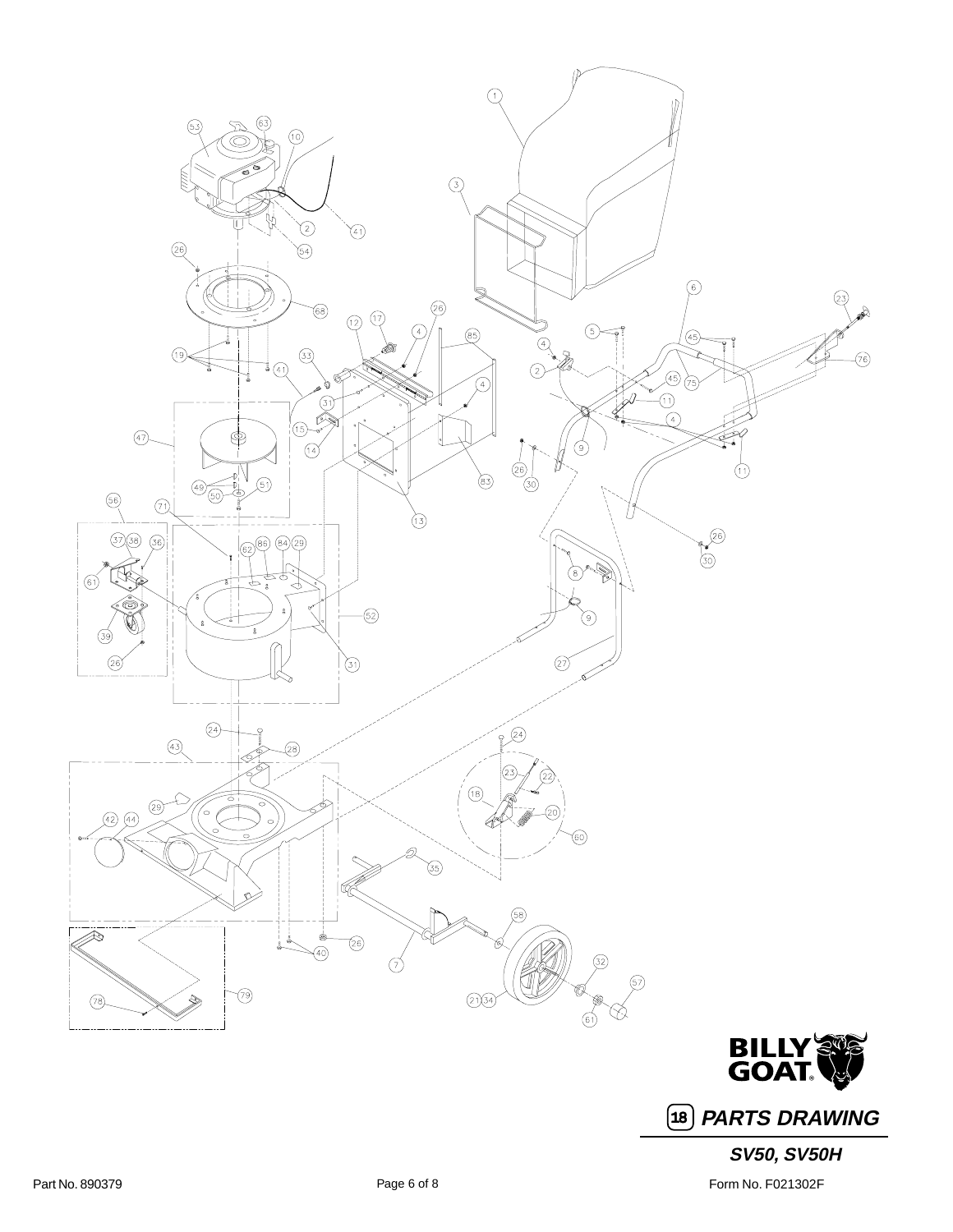

**PARTS DRAWING** 18

## **SV50, SV50H**

Part No. 890379 **Part No. 890379** Form No. F021302F